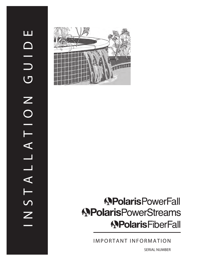

# **APolarisPowerFall APolarisPowerStreams APolarisFiberFall**

IMPORTANT INFORMATION

SERIAL NUMBER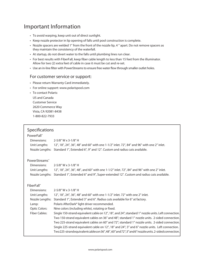# Important Information

- To avoid warping, keep unit out of direct sunlight.
- Keep nozzle protector in lip opening of falls until pool construction is complete.
- • Nozzle spacers are welded 1" from the front of the nozzle lip, 4 " apart. Do not remove spacers as they maintain the consistency of the waterfall.
- At startup, do not divert water to the falls until plumbing lines run clear.
- • For best results with FiberFall, keep fiber cable length to less than 15 feet from the illuminator. Allow for two (2) extra feet of cable in case it must be cut and re-set.
- • Use an in-line filter with PowerStreams to ensure free water flow through smaller outlet holes.

#### For customer service or support:

- Please return Warranty Card immediately.
- • For online support: www.polarispool.com
- To contact Polaris:

 US and Canada Customer Service 2620 Commerce Way Vista, CA 92081-8438 1-800-822-7933

## Specifications

#### PowerFall®

| Dimensions:<br>Unit Lengths:                                                                                                   | 2-5/8" W x 3-1/8" H<br>12", 18", 24", 36", 48" and 60" with one 1-1/2" inlet. 72", 84" and 96" with one 2" inlet.<br>Nozzle Lengths: Standard 1", Extended 6", 9" and 12". Custom and radius cuts available.                                                                                                                                                                                                                                                                                                                                                                                      |
|--------------------------------------------------------------------------------------------------------------------------------|---------------------------------------------------------------------------------------------------------------------------------------------------------------------------------------------------------------------------------------------------------------------------------------------------------------------------------------------------------------------------------------------------------------------------------------------------------------------------------------------------------------------------------------------------------------------------------------------------|
| PowerStreams®<br>Dimensions:<br>Unit Lengths:                                                                                  | 2-5/8" W x 3-1/8" H<br>12", 18", 24", 36", 48", and 60" with one 1-1/2" inlet. 72", 84" and 96" with one 2" inlet.<br>Nozzle Lengths: Standard 1", Extended 6" and 9", Super-extended 12". Custom and radius cuts available.                                                                                                                                                                                                                                                                                                                                                                      |
| <b>FiberFall</b> ®<br>Dimensions:<br>Unit Lengths:<br>Nozzle Lengths:<br>Lamp:<br><b>Optic Colors:</b><br><b>Fiber Cables:</b> | 2-5/8" W x 3-1/8" H<br>12", 18", 24", 36", 48" and 60" with one 1-1/2" inlet. 72" with one 2" inlet.<br>Standard 1", Extended 3" and 6". Radius cuts available for 6" at factory.<br>Polaris AfterDark® light driver recommended.<br>Nine colors (including white), rotating or fixed.<br>Single 150-strand equivalent cable on 12", 18", and 24"; standard 1" nozzle units. Left connection.<br>Two 150-strand equivalent cables on 36" and 48"; standard 1" nozzle units. 2-sided connection.<br>Two 225-strand equivalent cables on 60" and 72"; standard 1" nozzle units. 2-sided connection. |
|                                                                                                                                | Single 225-strand equivalent cable on 12", 18" and 24"; 3" and 6" nozzle units. Left connection.<br>Two225-strandequivalentcableson36",48",60" and 72";3" and 6" nozzleunits.2-sided connection.                                                                                                                                                                                                                                                                                                                                                                                                  |
|                                                                                                                                |                                                                                                                                                                                                                                                                                                                                                                                                                                                                                                                                                                                                   |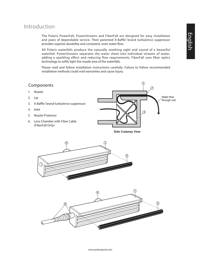# Introduction

The Polaris PowerFall, PowerStreams and FiberFall are designed for easy installation and years of dependable service. Their patented X-Baffle™ brand turbulence suppressor provides superior durability and consistent, even water flow.

All Polaris waterfalls produce the naturally soothing sight and sound of a beautiful waterfall. PowerStreams separates the water sheet into individual streams of water, adding a sparkling effect and reducing flow requirements. FiberFall uses fiber optics technology to softly light the nozzle area of the waterfalls.

Please read and follow installation instructions carefully. Failure to follow recommended installation methods could void warranties and cause injury.

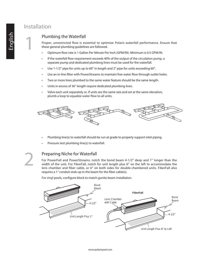# Installation

1

## Plumbing the Waterfall

Proper, unrestricted flow is essential to optimize Polaris waterfall performance. Ensure that these general plumbing guidelines are followed.

- Optimum flow rate is 1 Gallon Per Minute Per Inch (GPM/IN). Minimum is 0.5 GPM/IN.
- If the waterfall flow requirement exceeds 40% of the output of the circulation pump, a separate pump and dedicated plumbing lines must be used for the waterfall.
- Use 1-1/2" pipe for units up to 60" in length and 2" pipe for units exceeding 60".
- Use an in-line filter with PowerStreams to maintain free water flow through outlet holes.
- Two or more lines plumbed to the same water feature should be the same length.
- Units in excess of 36" length require dedicated plumbing lines.
- Valve each unit separately or, if units are the same size and set at the same elevation, plumb a loop to equalize water flow to all units.



- Plumbing line(s) to waterfall should be run at grade to properly support inlet piping.
- Pressure test plumbing line(s) to waterfall.

2

#### Preparing Niche for Waterfall

For PowerFall and PowerStreams, notch the bond beam 4-1/2" deep and 1" longer than the width of the unit. For FiberFall, notch for unit length plus 6" on the left to accommodate the lens chamber and fiber cable, or 6" on both sides for double-chambered units. FiberFall also requires a 1" conduit stub-up in the beam for the fiber cable(s).

For vinyl pools, configure block to match gunite beam installation.

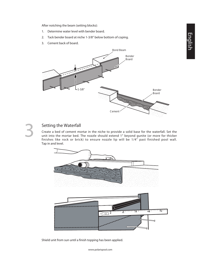English

After notching the beam (setting blocks):

- 1. Determine water level with bender board.
- 2. Tack bender board at niche 1-3/8" below bottom of coping.
- 3. Cement back of board.





#### Setting the Waterfall

Create a bed of cement mortar in the niche to provide a solid base for the waterfall. Set the unit into the mortar bed. The nozzle should extend 1" beyond gunite (or more for thicker finishes like rock or brick) to ensure nozzle lip will be 1/4" past finished pool wall. Tap in and level.



Shield unit from sun until a finish topping has been applied.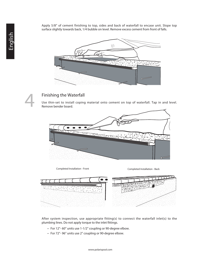Apply 5/8" of cement finishing to top, sides and back of waterfall to encase unit. Slope top surface slightly towards back, 1/4 bubble on level. Remove excess cement from front of falls.





## Finishing the Waterfall

Use thin-set to install coping material onto cement on top of waterfall. Tap in and level. Remove bender board.



Completed Installation - Front Completed Installation - Back



After system inspection, use appropriate fitting(s) to connect the waterfall inlet(s) to the plumbing lines. Do not apply torque to the inlet fittings.

- For 12"-60" units use 1-1/2" coupling or 90-degree elbow.
- • For 72"- 96" units use 2" coupling or 90-degree elbow.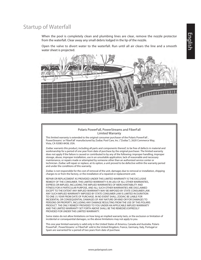## Startup of Waterfall

When the pool is completely clean and plumbing lines are clear, remove the nozzle protector from the waterfall. Clear away any small debris lodged in the lip of the nozzle.

Open the valve to divert water to the waterfall. Run until all air clears the line and a smooth water sheet is projected.



#### Polaris PowerFall, PowerStreams and FiberFall Limited Warranty

This limited warranty is extended to the original consumer purchaser of the Polaris PowerFall", PowerStreams' or FiberFall' manufactured by Zodiac Pool Care, Inc. ("Zodiac"), 2620 Commerce Way, Vista, CA 92083-8438, USA.

Zodiac warrants this product, including all parts and components thereof, to be free of defects in material and workmanship for a period of one year from date of purchase by the original purchaser. The limited warranty does not apply if the failure is caused or contributed to by any of the following: improper handling, improper storage, abuse, improper installation, use in an unsuitable application, lack of reasonable and necessary maintenance, or repairs made or attempted by someone other than an authorized service center or technician. Zodiac will repair or replace, at its option, a unit proved to be defective within the warranty period and under the conditions of this warranty.

Zodiac is not responsible for the cost of removal of the unit, damages due to removal or installation, shipping charges to or from the factory, or the installation of a repaired or replacement unit.

REPAIR OR REPLACEMENT AS PROVIDED UNDER THIS LIMITED WARRANTY IS THE EXCLUSIVE REMEDY OF THE CONSUMER. THIS LIMITED WARRANTY IS IN LIEU OF ALL OTHER WARRANTIES, EXPRESS OR IMPLIED, INCLUDING THE IMPLIED WARRANTIES OF MERCHANTABILITY AND FITNESS FOR A PARTICULAR PURPOSE, AND ALL SUCH OTHER WARRANTIES ARE DISCLAIMED EXCEPT TO THE EXTENT ANY IMPLIED WARRANTY MAY BE IMPOSED BY STATE CONSUMER LAW. ANY SUCH IMPLIED WARRANTY IMPOSED BY STATE CONSUMER LAW IS LIMITED IN DURATION TO ONE (1) YEAR FROM DATE OF PURCHASE. IN NO EVENT SHALL ZODIAC BE LIABLE FOR INCIDENTAL OR CONSEQUENTIAL DAMAGES OF ANY NATURE OR KIND OR FOR DAMAGES TO PERSONS OR PROPERTY, INCLUDING ANY DAMAGE RESULTING FROM THE USE OF THIS POLARIS PRODUCT. THE ONLY REMEDY PROVIDED TO YOU UNDER AN APPLICABLE IMPLIED WARRANTY AND THE LIMITED WARRANTY SET FORTH ABOVE SHALL BE THE REMEDIES EXPRESSLY PROVIDED FOR UNDER THIS LIMITED WARRANTY.

Some states do not allow limitations on how long an implied warranty lasts, or the exclusion or limitation of incidental or consequential damages, so the above limitations may not apply to you.

This one year limited warranty is valid only in the United States of America, Canada and Australia. Polaris PowerFall<sup>®</sup>, PowerStreams® or FiberFall® sold in the United Kingdom, France, Germany, Italy, Portugal or Spain are warranted for a period of two years from date of purchase.